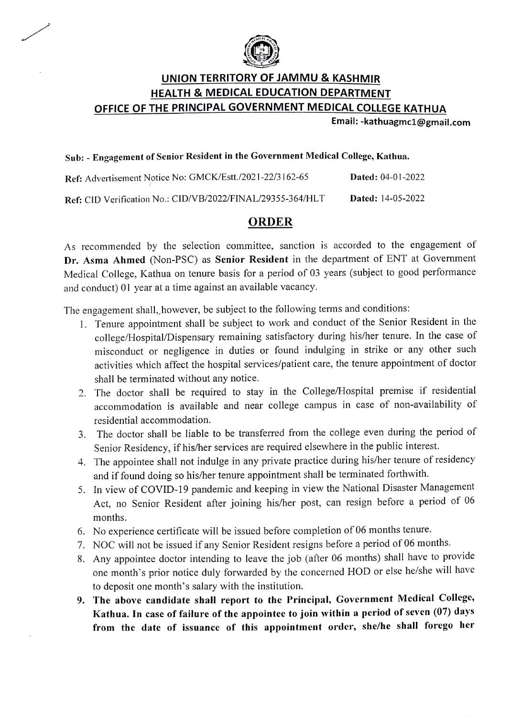

### UNION TERRITORY OF JAMMU & KASHMIR HEALTH & MEDICAL EDUCATION DEPARTMENT OFFICE OF THE PRINCIPAL GOVERNMENT MEDICAL COLLEGE KATHUA

Email:-kathuagmc1@gmail.com

#### Sub:-Engagement of Senior Resident in the Government Medical College, Kathua.

| Ref: Advertisement Notice No: GMCK/Estt./2021-22/3162-65   | <b>Dated: 04-01-2022</b> |
|------------------------------------------------------------|--------------------------|
| Ref: CID Verification No.: CID/VB/2022/FINAL/29355-364/HLT | <b>Dated:</b> 14-05-2022 |

### ORDER

As recommended by the selection committee, sanction is accorded to the engagement of Dr. Asma Ahmed (Non-PSC) as Senior Resident in the department of ENT at Government Medical College, Kathua on tenure basis for a period of 03 years (subject to good performance and conduct) 01 year at a time against an available vacancy.

The engagement shall, however, be subject to the following terms and conditions:

- 1. Tenure appointment shall be subject to work and conduct of the Senior Resident in the college/Hospital/Dispensary remaining satisfactory during his/her tenure. In the case of misconduct or negligence in duties or found indulging in strike or any other such activities which affect the hospital services/patient care, the tenure appointment of doctor shall be terminated without any notice.
- 2. The doctor shall be required to stay in the College/Hospital premise if residential accommodation is available and near college campus in case of non-availability of residential accommodation.
- 3. The doctor shall be liable to be transferred from the college even during the period of Senior Residency, if his/her services are required elsewhere in the public interest
- 4. The appointee shall not indulge in any private practice during his/her tenure of residency and if found doing so his/her tenure appointment shall be terminated forthwith.
- 5. In view of COVID-19 pandemic and keeping in view the National Disaster Management Act, no Senior Resident after joining his/her post, can resign before a period of 06 months.
- 6. No experience certificate will be issued before completion of 06 months tenure.
- 7. NOC will not be issued if any Senior Resident resigns before a period of 06 months
- 8. Any appointee doctor intending to leave the job (after 06 months) shall have to provide one month's prior notice duly forwarded by the concerned HOD or else he/she will have to deposit one month's salary with the institution.
- 9. The above candidate shall report to the Principal, Government Medical Collegc, Kathua. In case of failure of the appointee to join within a period of seven (07) days from the date of issuance of this appointment order, she/he shall forego her